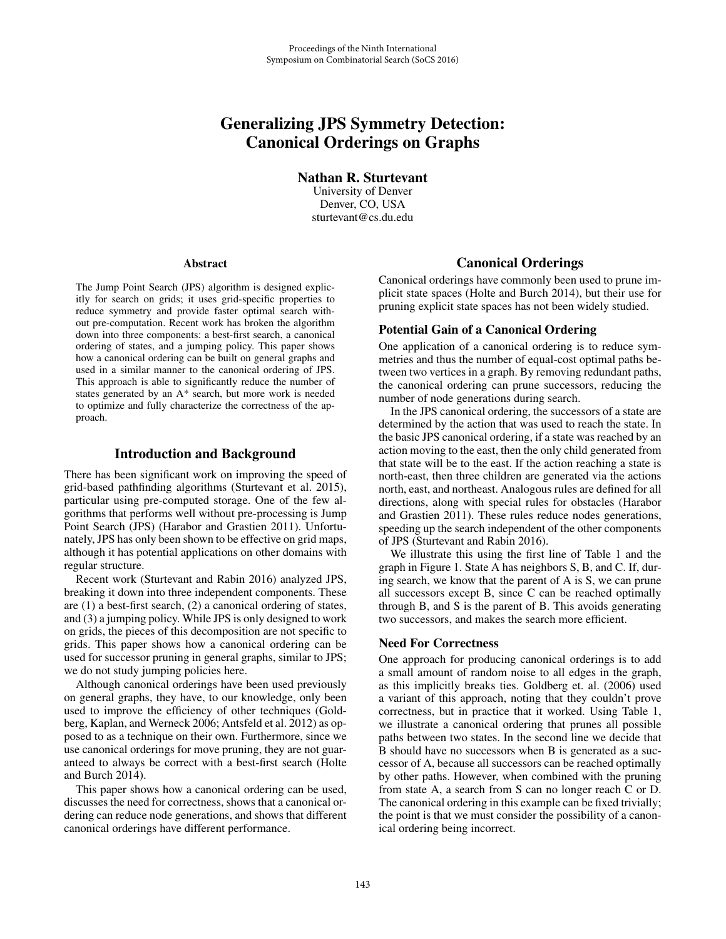# Generalizing JPS Symmetry Detection: Canonical Orderings on Graphs

Nathan R. Sturtevant University of Denver Denver, CO, USA sturtevant@cs.du.edu

#### Abstract

The Jump Point Search (JPS) algorithm is designed explicitly for search on grids; it uses grid-specific properties to reduce symmetry and provide faster optimal search without pre-computation. Recent work has broken the algorithm down into three components: a best-first search, a canonical ordering of states, and a jumping policy. This paper shows how a canonical ordering can be built on general graphs and used in a similar manner to the canonical ordering of JPS. This approach is able to significantly reduce the number of states generated by an A\* search, but more work is needed to optimize and fully characterize the correctness of the approach.

# Introduction and Background

There has been significant work on improving the speed of grid-based pathfinding algorithms (Sturtevant et al. 2015), particular using pre-computed storage. One of the few algorithms that performs well without pre-processing is Jump Point Search (JPS) (Harabor and Grastien 2011). Unfortunately, JPS has only been shown to be effective on grid maps, although it has potential applications on other domains with regular structure.

Recent work (Sturtevant and Rabin 2016) analyzed JPS, breaking it down into three independent components. These are (1) a best-first search, (2) a canonical ordering of states, and (3) a jumping policy. While JPS is only designed to work on grids, the pieces of this decomposition are not specific to grids. This paper shows how a canonical ordering can be used for successor pruning in general graphs, similar to JPS; we do not study jumping policies here.

Although canonical orderings have been used previously on general graphs, they have, to our knowledge, only been used to improve the efficiency of other techniques (Goldberg, Kaplan, and Werneck 2006; Antsfeld et al. 2012) as opposed to as a technique on their own. Furthermore, since we use canonical orderings for move pruning, they are not guaranteed to always be correct with a best-first search (Holte and Burch 2014).

This paper shows how a canonical ordering can be used, discusses the need for correctness, shows that a canonical ordering can reduce node generations, and shows that different canonical orderings have different performance.

### Canonical Orderings

Canonical orderings have commonly been used to prune implicit state spaces (Holte and Burch 2014), but their use for pruning explicit state spaces has not been widely studied.

#### Potential Gain of a Canonical Ordering

One application of a canonical ordering is to reduce symmetries and thus the number of equal-cost optimal paths between two vertices in a graph. By removing redundant paths, the canonical ordering can prune successors, reducing the number of node generations during search.

In the JPS canonical ordering, the successors of a state are determined by the action that was used to reach the state. In the basic JPS canonical ordering, if a state was reached by an action moving to the east, then the only child generated from that state will be to the east. If the action reaching a state is north-east, then three children are generated via the actions north, east, and northeast. Analogous rules are defined for all directions, along with special rules for obstacles (Harabor and Grastien 2011). These rules reduce nodes generations, speeding up the search independent of the other components of JPS (Sturtevant and Rabin 2016).

We illustrate this using the first line of Table 1 and the graph in Figure 1. State A has neighbors S, B, and C. If, during search, we know that the parent of A is S, we can prune all successors except B, since C can be reached optimally through B, and S is the parent of B. This avoids generating two successors, and makes the search more efficient.

# Need For Correctness

One approach for producing canonical orderings is to add a small amount of random noise to all edges in the graph, as this implicitly breaks ties. Goldberg et. al. (2006) used a variant of this approach, noting that they couldn't prove correctness, but in practice that it worked. Using Table 1, we illustrate a canonical ordering that prunes all possible paths between two states. In the second line we decide that B should have no successors when B is generated as a successor of A, because all successors can be reached optimally by other paths. However, when combined with the pruning from state A, a search from S can no longer reach C or D. The canonical ordering in this example can be fixed trivially; the point is that we must consider the possibility of a canonical ordering being incorrect.